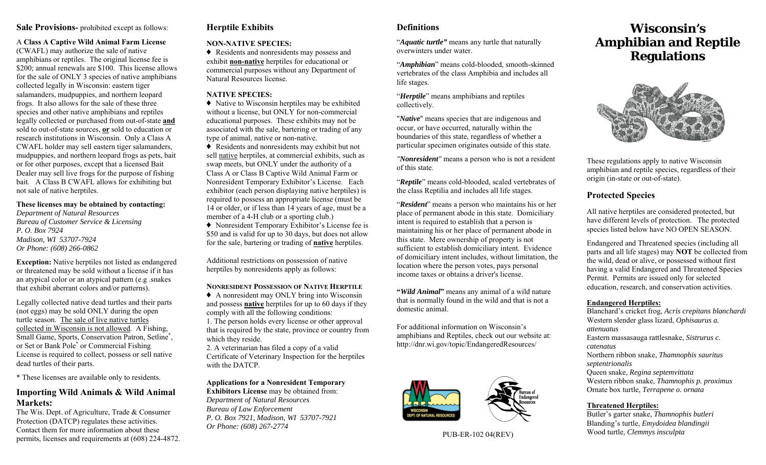### **Sale Provisions-** prohibited except as follows:

#### A **Class A Captive Wild Animal Farm License**

(CWAFL) may authorize the sale of native amphibians or reptiles. The original license fee is \$200; annual renewals are \$100. This license allows for the sale of ONLY 3 species of native amphibians collected legally in Wisconsin: eastern tiger salamanders, mudpuppies, and northern leopard frogs. It also allows for the sale of these three species and other native amphibians and reptiles legally collected or purchased from out-of-state **and** sold to out-of-state sources, **or** sold to education or research institutions in Wisconsin. Only a Class A CWAFL holder may sell eastern tiger salamanders, mudpuppies, and northern leopard frogs as pets, bait or for other purposes, except that a licensed Bait Dealer may sell live frogs for the purpose of fishing bait. A Class B CWAFL allows for exhibiting but not sale of native herptiles.

#### **These licenses may be obtained by contacting:**

*Department of Natural Resources Bureau of Customer Service & Licensing P. O. Box 7924 Madison, WI 53707-7924 Or Phone: (608) 266-0862*

**Exception:** Native herptiles not listed as endangered or threatened may be sold without a license if it has an atypical color or an atypical pattern (e.g .snakes that exhibit aberrant colors and/or patterns).

Legally collected native dead turtles and their parts (not eggs) may be sold ONLY during the open turtle season. The sale of live native turtles collected in Wisconsin is not allowed. A Fishing, Small Game, Sports, Conservation Patron, Setline\*, or Set or Bank Pole\* or Commercial Fishing License is required to collect, possess or sell native dead turtles of their parts.

\* These licenses are available only to residents.

# **Importing Wild Animals & Wild Animal Markets:**

The Wis. Dept. of Agriculture, Trade & Consumer Protection (DATCP) regulates these activities. Contact them for more information about these permits, licenses and requirements at (608) 224-4872.

# **Herptile Exhibits**

### **NON-NATIVE SPECIES:**

♦ Residents and nonresidents may possess and exhibit **non-native** herptiles for educational or commercial purposes without any Department of Natural Resources license.

### **NATIVE SPECIES:**

♦ Native to Wisconsin herptiles may be exhibited without a license, but ONLY for non-commercial educational purposes. These exhibits may not be associated with the sale, bartering or trading of any type of animal, native or non-native.

♦ Residents and nonresidents may exhibit but not sell native herptiles, at commercial exhibits, such as swap meets, but ONLY under the authority of a Class A or Class B Captive Wild Animal Farm or Nonresident Temporary Exhibitor's License. Each exhibitor (each person displaying native herptiles) is required to possess an appropriate license (must be 14 or older, or if less than 14 years of age, must be a member of a 4-H club or a sporting club.)

♦ Nonresident Temporary Exhibitor's License fee is \$50 and is valid for up to 30 days, but does not allow for the sale, bartering or trading of **native** herptiles.

Additional restrictions on possession of native herptiles by nonresidents apply as follows:

#### **NONRESIDENT POSSESSION OF NATIVE HERPTILE**

♦ A nonresident may ONLY bring into Wisconsin and possess **native** herptiles for up to 60 days if they comply with all the following conditions:

1. The person holds every license or other approval that is required by the state, province or country from which they reside.

2. A veterinarian has filed a copy of a valid Certificate of Veterinary Inspection for the herptiles with the DATCP.

**Applications for a Nonresident Temporary Exhibitors License** may be obtained from: *Department of Natural Resources Bureau of Law Enforcement P. O. Box 7921, Madison, WI 53707-7921 Or Phone: (608) 267-2774* 

# **Definitions**

"*Aquatic turtle"* means any turtle that naturally overwinters under water.

"*Amphibian*" means cold-blooded, smooth-skinned vertebrates of the class Amphibia and includes all life stages.

"*Herptile*" means amphibians and reptiles collectively.

"*Native*" means species that are indigenous and occur, or have occurred, naturally within the boundaries of this state, regardless of whether a particular specimen originates outside of this state.

*"Nonresident"* means a person who is not a resident of this state.

"*Reptile*" means cold-blooded, scaled vertebrates of the class Reptilia and includes all life stages.

"*Resident*" means a person who maintains his or her place of permanent abode in this state. Domiciliary intent is required to establish that a person is maintaining his or her place of permanent abode in this state. Mere ownership of property is not sufficient to establish domiciliary intent. Evidence of domiciliary intent includes, without limitation, the location where the person votes, pays personal income taxes or obtains a driver's license.

**"***Wild Animal***"** means any animal of a wild nature that is normally found in the wild and that is not a domestic animal.

For additional information on Wisconsin's amphibians and Reptiles, check out our website at: http://dnr.wi.gov/topic/EndangeredResources/



PUB-ER-102 04(REV)

# **Wisconsin's Amphibian and Reptile Regulations**



These regulations apply to native Wisconsin amphibian and reptile species, regardless of their origin (in-state or out-of-state).

# **Protected Species**

All native herptiles are considered protected, but have different levels of protection. The protected species listed below have NO OPEN SEASON.

Endangered and Threatened species (including all parts and all life stages) may **NOT** be collected from the wild, dead or alive, or possessed without first having a valid Endangered and Threatened Species Permit. Permits are issued only for selected education, research, and conservation activities.

### **Endangered Herptiles:**

Blanchard's cricket frog, *Acris crepitans blanchardi* Western slender glass lizard, *Ophisaurus a. attenuatus*Eastern massasauga rattlesnake, *Sistrurus c. catenatus*Northern ribbon snake, *Thamnophis sauritus septentrionalis* Queen snake, *Regina septemvittata* Western ribbon snake, *Thamnophis p. proximus* Ornate box turtle, *Terrapene o. ornata*

### **Threatened Herptiles:**

Butler's garter snake, *Thamnophis butleri* Blanding's turtle, *Emydoidea blandingii* Wood turtle, *Clemmys insculpta*